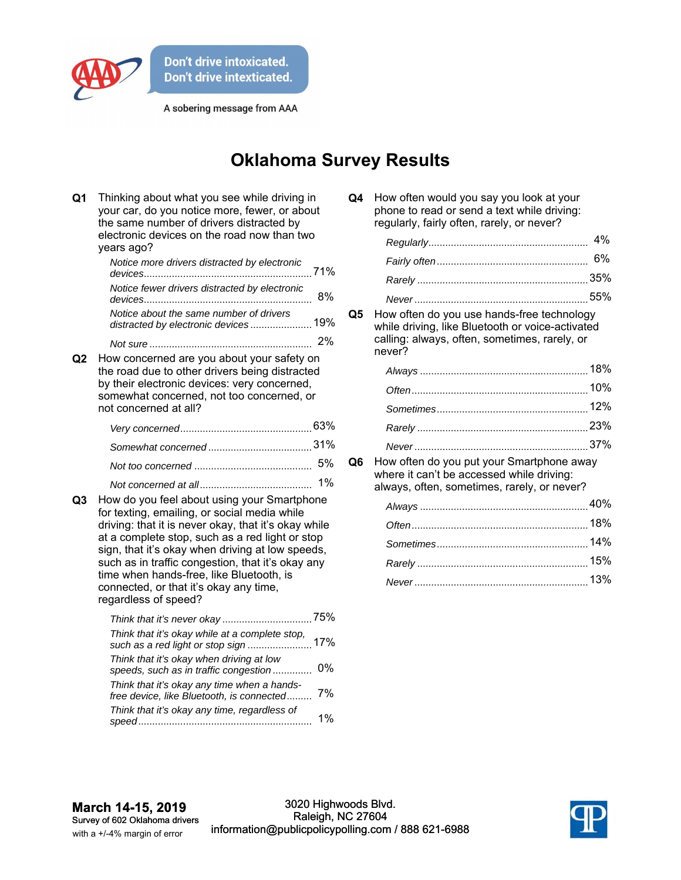

A sobering message from AAA

## **Oklahoma Survey Results**

| Q <sub>1</sub> | Thinking about what you see while driving in<br>your car, do you notice more, fewer, or about<br>the same number of drivers distracted by<br>electronic devices on the road now than two<br>years ago?                                                                                                                                                                                                                        |    |
|----------------|-------------------------------------------------------------------------------------------------------------------------------------------------------------------------------------------------------------------------------------------------------------------------------------------------------------------------------------------------------------------------------------------------------------------------------|----|
|                | Notice more drivers distracted by electronic                                                                                                                                                                                                                                                                                                                                                                                  |    |
|                | Notice fewer drivers distracted by electronic                                                                                                                                                                                                                                                                                                                                                                                 | 8% |
|                | Notice about the same number of drivers<br>distracted by electronic devices 19%                                                                                                                                                                                                                                                                                                                                               |    |
|                |                                                                                                                                                                                                                                                                                                                                                                                                                               |    |
| Q2             | How concerned are you about your safety on<br>the road due to other drivers being distracted<br>by their electronic devices: very concerned,<br>somewhat concerned, not too concerned, or<br>not concerned at all?                                                                                                                                                                                                            |    |
|                |                                                                                                                                                                                                                                                                                                                                                                                                                               |    |
|                |                                                                                                                                                                                                                                                                                                                                                                                                                               |    |
|                |                                                                                                                                                                                                                                                                                                                                                                                                                               | 5% |
| Q3             | How do you feel about using your Smartphone<br>for texting, emailing, or social media while<br>driving: that it is never okay, that it's okay while<br>at a complete stop, such as a red light or stop<br>sign, that it's okay when driving at low speeds,<br>such as in traffic congestion, that it's okay any<br>time when hands-free, like Bluetooth, is<br>connected, or that it's okay any time,<br>regardless of speed? | 1% |
|                | Think that it's okay while at a complete stop,                                                                                                                                                                                                                                                                                                                                                                                |    |
|                | such as a red light or stop sign  17%                                                                                                                                                                                                                                                                                                                                                                                         |    |
|                | Think that it's okay when driving at low<br>speeds, such as in traffic congestion                                                                                                                                                                                                                                                                                                                                             | 0% |
|                | Think that it's okay any time when a hands-<br>free device, like Bluetooth, is connected                                                                                                                                                                                                                                                                                                                                      | 7% |
|                | Think that it's okay any time, regardless of                                                                                                                                                                                                                                                                                                                                                                                  | 1% |

| Q4 | How often would you say you look at your    |
|----|---------------------------------------------|
|    | phone to read or send a text while driving: |
|    | regularly, fairly often, rarely, or never?  |

**Q5** How often do you use hands-free technology while driving, like Bluetooth or voice-activated calling: always, often, sometimes, rarely, or never?

**Q6** How often do you put your Smartphone away where it can't be accessed while driving: always, often, sometimes, rarely, or never?